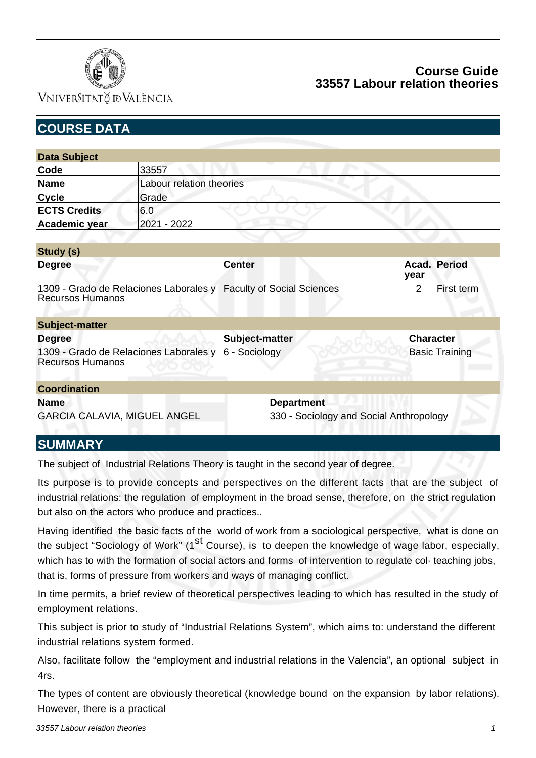

VNIVERSITATÖ ID VALÈNCIA

| <b>COURSE DATA</b>                                 |                                        |                                                                   |                                         |
|----------------------------------------------------|----------------------------------------|-------------------------------------------------------------------|-----------------------------------------|
|                                                    |                                        |                                                                   |                                         |
| <b>Data Subject</b>                                |                                        |                                                                   |                                         |
| Code                                               | 33557                                  |                                                                   |                                         |
| Name                                               | Labour relation theories               |                                                                   |                                         |
| <b>Cycle</b>                                       | Grade                                  |                                                                   |                                         |
| <b>ECTS Credits</b>                                | 6.0                                    |                                                                   |                                         |
| Academic year                                      | 2021 - 2022                            |                                                                   |                                         |
|                                                    |                                        |                                                                   |                                         |
| Study (s)                                          |                                        |                                                                   |                                         |
| <b>Degree</b>                                      |                                        | <b>Center</b>                                                     | Acad. Period<br>year                    |
| <b>Recursos Humanos</b>                            |                                        | 1309 - Grado de Relaciones Laborales y Faculty of Social Sciences | $\overline{2}$<br>First term            |
| <b>Subject-matter</b>                              |                                        |                                                                   |                                         |
| <b>Degree</b>                                      |                                        | Subject-matter                                                    | <b>Character</b>                        |
| <b>Recursos Humanos</b>                            | 1309 - Grado de Relaciones Laborales y | 6 - Sociology                                                     | <b>Basic Training</b>                   |
| <b>Coordination</b>                                |                                        |                                                                   |                                         |
| <b>Name</b><br><b>GARCIA CALAVIA, MIGUEL ANGEL</b> |                                        | <b>Department</b>                                                 | 330 - Sociology and Social Anthropology |
| <b>CLIMMA A DV</b>                                 |                                        |                                                                   |                                         |

# **SUMMARY**

The subject of Industrial Relations Theory is taught in the second year of degree.

Its purpose is to provide concepts and perspectives on the different facts that are the subject of industrial relations: the regulation of employment in the broad sense, therefore, on the strict regulation but also on the actors who produce and practices..

Having identified the basic facts of the world of work from a sociological perspective, what is done on the subject "Sociology of Work" (1<sup>st</sup> Course), is to deepen the knowledge of wage labor, especially, which has to with the formation of social actors and forms of intervention to regulate col· teaching jobs, that is, forms of pressure from workers and ways of managing conflict.

In time permits, a brief review of theoretical perspectives leading to which has resulted in the study of employment relations.

This subject is prior to study of "Industrial Relations System", which aims to: understand the different industrial relations system formed.

Also, facilitate follow the "employment and industrial relations in the Valencia", an optional subject in 4rs.

The types of content are obviously theoretical (knowledge bound on the expansion by labor relations). However, there is a practical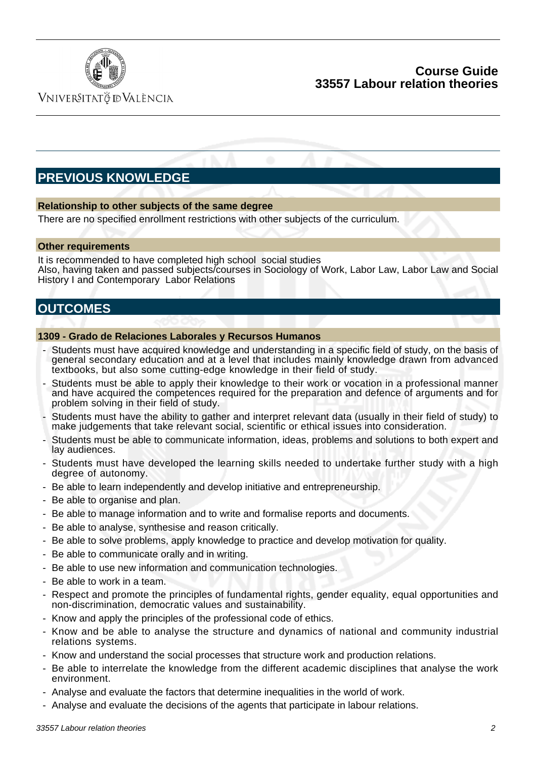

VNIVERSITATÖ IDVALÈNCIA

# **PREVIOUS KNOWLEDGE**

#### **Relationship to other subjects of the same degree**

There are no specified enrollment restrictions with other subjects of the curriculum.

#### **Other requirements**

It is recommended to have completed high school social studies Also, having taken and passed subjects/courses in Sociology of Work, Labor Law, Labor Law and Social History I and Contemporary Labor Relations

# **OUTCOMES**

#### **1309 - Grado de Relaciones Laborales y Recursos Humanos**

- Students must have acquired knowledge and understanding in a specific field of study, on the basis of general secondary education and at a level that includes mainly knowledge drawn from advanced textbooks, but also some cutting-edge knowledge in their field of study.
- Students must be able to apply their knowledge to their work or vocation in a professional manner and have acquired the competences required for the preparation and defence of arguments and for problem solving in their field of study.
- Students must have the ability to gather and interpret relevant data (usually in their field of study) to make judgements that take relevant social, scientific or ethical issues into consideration.
- Students must be able to communicate information, ideas, problems and solutions to both expert and lay audiences.
- Students must have developed the learning skills needed to undertake further study with a high degree of autonomy.
- Be able to learn independently and develop initiative and entrepreneurship.
- Be able to organise and plan.
- Be able to manage information and to write and formalise reports and documents.
- Be able to analyse, synthesise and reason critically.
- Be able to solve problems, apply knowledge to practice and develop motivation for quality.
- Be able to communicate orally and in writing.
- Be able to use new information and communication technologies.
- Be able to work in a team.
- Respect and promote the principles of fundamental rights, gender equality, equal opportunities and non-discrimination, democratic values and sustainability.
- Know and apply the principles of the professional code of ethics.
- Know and be able to analyse the structure and dynamics of national and community industrial relations systems.
- Know and understand the social processes that structure work and production relations.
- Be able to interrelate the knowledge from the different academic disciplines that analyse the work environment.
- Analyse and evaluate the factors that determine inequalities in the world of work.
- Analyse and evaluate the decisions of the agents that participate in labour relations.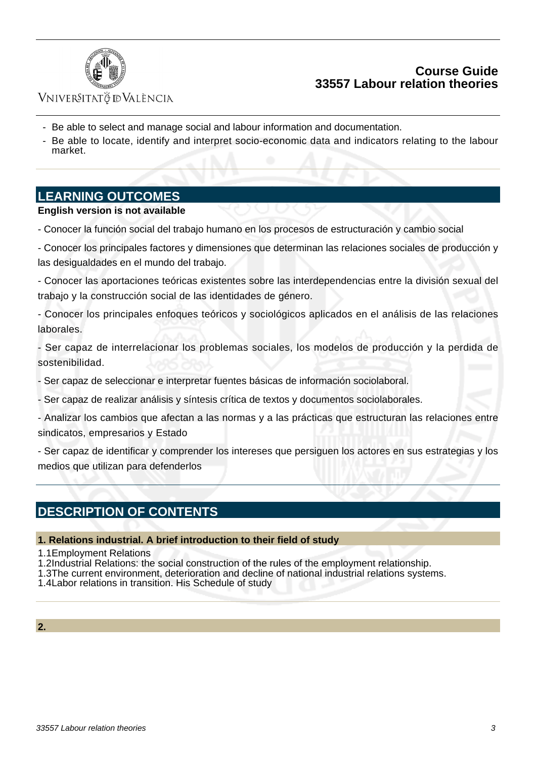

## VNIVERSITATÖ IDVALÈNCIA

- Be able to select and manage social and labour information and documentation.
- Be able to locate, identify and interpret socio-economic data and indicators relating to the labour market.

### **LEARNING OUTCOMES**

#### **English version is not available**

- Conocer la función social del trabajo humano en los procesos de estructuración y cambio social

- Conocer los principales factores y dimensiones que determinan las relaciones sociales de producción y las desigualdades en el mundo del trabajo.

- Conocer las aportaciones teóricas existentes sobre las interdependencias entre la división sexual del trabajo y la construcción social de las identidades de género.

- Conocer los principales enfoques teóricos y sociológicos aplicados en el análisis de las relaciones laborales.

- Ser capaz de interrelacionar los problemas sociales, los modelos de producción y la perdida de sostenibilidad.

- Ser capaz de seleccionar e interpretar fuentes básicas de información sociolaboral.

- Ser capaz de realizar análisis y síntesis crítica de textos y documentos sociolaborales.

- Analizar los cambios que afectan a las normas y a las prácticas que estructuran las relaciones entre sindicatos, empresarios y Estado

- Ser capaz de identificar y comprender los intereses que persiguen los actores en sus estrategias y los medios que utilizan para defenderlos

# **DESCRIPTION OF CONTENTS**

#### **1. Relations industrial. A brief introduction to their field of study**

- 1.1 Employment Relations
- 1.2 Industrial Relations: the social construction of the rules of the employment relationship.
- 1.3 The current environment, deterioration and decline of national industrial relations systems.
- 1.4 Labor relations in transition. His Schedule of study

#### **2.**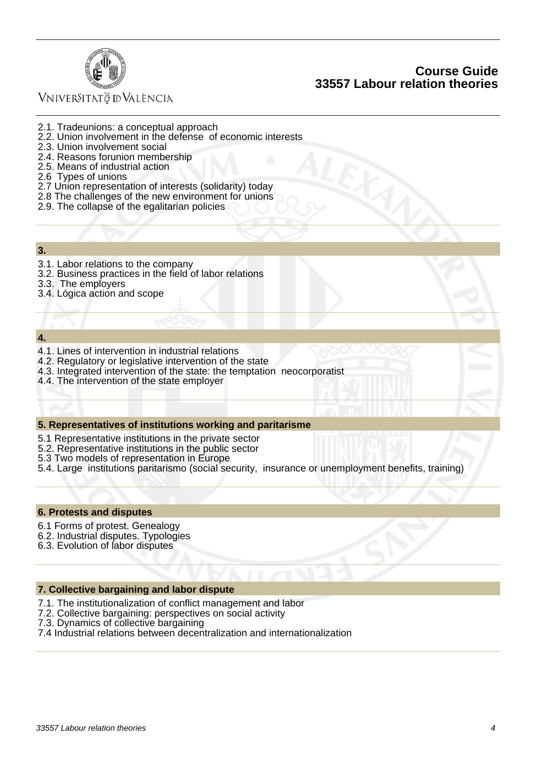

# VNIVERSITATÖ ID VALÈNCIA

- 2.1. Tradeunions: a conceptual approach
- 2.2. Union involvement in the defense of economic interests
- 2.3. Union involvement social
- 2.4. Reasons forunion membership
- 2.5. Means of industrial action
- 2.6 Types of unions
- 2.7 Union representation of interests (solidarity) today
- 2.8 The challenges of the new environment for unions
- 2.9. The collapse of the egalitarian policies
- **3.**
- 3.1. Labor relations to the company
- 3.2. Business practices in the field of labor relations
- 3.3. The employers
- 3.4. Lógica action and scope

#### **4.**

- 4.1. Lines of intervention in industrial relations
- 4.2. Regulatory or legislative intervention of the state
- 4.3. Integrated intervention of the state: the temptation neocorporatist
- 4.4. The intervention of the state employer

#### **5. Representatives of institutions working and paritarisme**

- 5.1 Representative institutions in the private sector
- 5.2. Representative institutions in the public sector
- 5.3 Two models of representation in Europe
- 5.4. Large institutions paritarismo (social security, insurance or unemployment benefits, training)

#### **6. Protests and disputes**

- 6.1 Forms of protest. Genealogy
- 6.2. Industrial disputes. Typologies
- 6.3. Evolution of labor disputes

#### **7. Collective bargaining and labor dispute**

- 7.1. The institutionalization of conflict management and labor
- 7.2. Collective bargaining: perspectives on social activity
- 7.3. Dynamics of collective bargaining
- 7.4 Industrial relations between decentralization and internationalization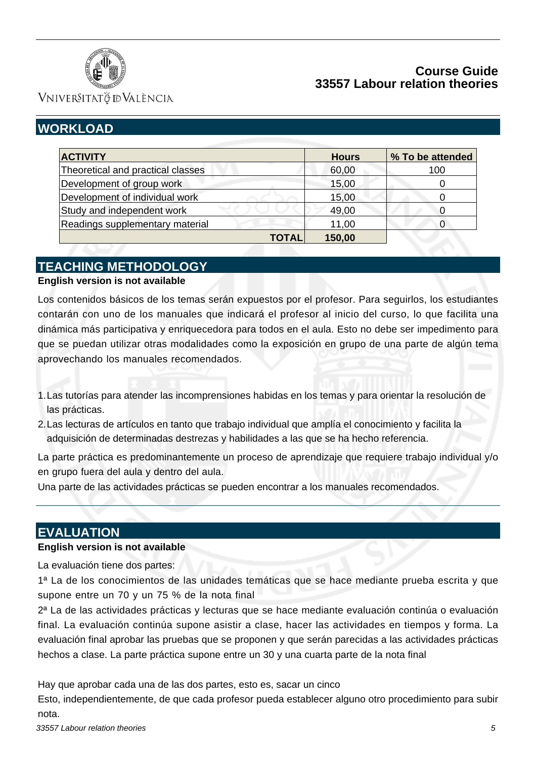

VNIVERSITATÖ IDVALÈNCIA

# **WORKLOAD**

| <b>ACTIVITY</b>                   | <b>Hours</b> | % To be attended |
|-----------------------------------|--------------|------------------|
| Theoretical and practical classes | 60,00        | 100              |
| Development of group work         | 15,00        |                  |
| Development of individual work    | 15,00        |                  |
| Study and independent work        | 49,00        |                  |
| Readings supplementary material   | 11,00        |                  |
| <b>TOTAL</b>                      | 150,00       |                  |

# **TEACHING METHODOLOGY**

#### **English version is not available**

Los contenidos básicos de los temas serán expuestos por el profesor. Para seguirlos, los estudiantes contarán con uno de los manuales que indicará el profesor al inicio del curso, lo que facilita una dinámica más participativa y enriquecedora para todos en el aula. Esto no debe ser impedimento para que se puedan utilizar otras modalidades como la exposición en grupo de una parte de algún tema aprovechando los manuales recomendados.

- 1. Las tutorías para atender las incomprensiones habidas en los temas y para orientar la resolución de las prácticas.
- Las lecturas de artículos en tanto que trabajo individual que amplía el conocimiento y facilita la 2. adquisición de determinadas destrezas y habilidades a las que se ha hecho referencia.

La parte práctica es predominantemente un proceso de aprendizaje que requiere trabajo individual y/o en grupo fuera del aula y dentro del aula.

Una parte de las actividades prácticas se pueden encontrar a los manuales recomendados.

# **EVALUATION**

#### **English version is not available**

La evaluación tiene dos partes:

1ª La de los conocimientos de las unidades temáticas que se hace mediante prueba escrita y que supone entre un 70 y un 75 % de la nota final

2ª La de las actividades prácticas y lecturas que se hace mediante evaluación continúa o evaluación final. La evaluación continúa supone asistir a clase, hacer las actividades en tiempos y forma. La evaluación final aprobar las pruebas que se proponen y que serán parecidas a las actividades prácticas hechos a clase. La parte práctica supone entre un 30 y una cuarta parte de la nota final

Hay que aprobar cada una de las dos partes, esto es, sacar un cinco

Esto, independientemente, de que cada profesor pueda establecer alguno otro procedimiento para subir nota.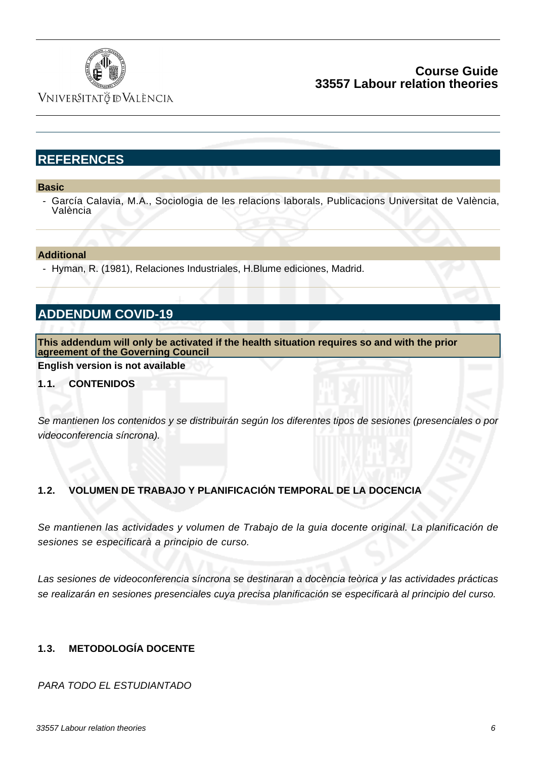

VNIVERSITATÖ ID VALÈNCIA

# **REFERENCES**

**Basic**

García Calavia, M.A., Sociologia de les relacions laborals, Publicacions Universitat de València, València

#### **Additional**

- Hyman, R. (1981), Relaciones Industriales, H.Blume ediciones, Madrid.

# **ADDENDUM COVID-19**

**This addendum will only be activated if the health situation requires so and with the prior agreement of the Governing Council**

**English version is not available**

#### **1.1. CONTENIDOS**

Se mantienen los contenidos y se distribuirán según los diferentes tipos de sesiones (presenciales o por videoconferencia síncrona).

#### **1.2. VOLUMEN DE TRABAJO Y PLANIFICACIÓN TEMPORAL DE LA DOCENCIA**

Se mantienen las actividades y volumen de Trabajo de la guia docente original. La planificación de sesiones se especificarà a principio de curso.

Las sesiones de videoconferencia síncrona se destinaran a docència teòrica y las actividades prácticas se realizarán en sesiones presenciales cuya precisa planificación se especificarà al principio del curso.

### **1.3. METODOLOGÍA DOCENTE**

PARA TODO EL ESTUDIANTADO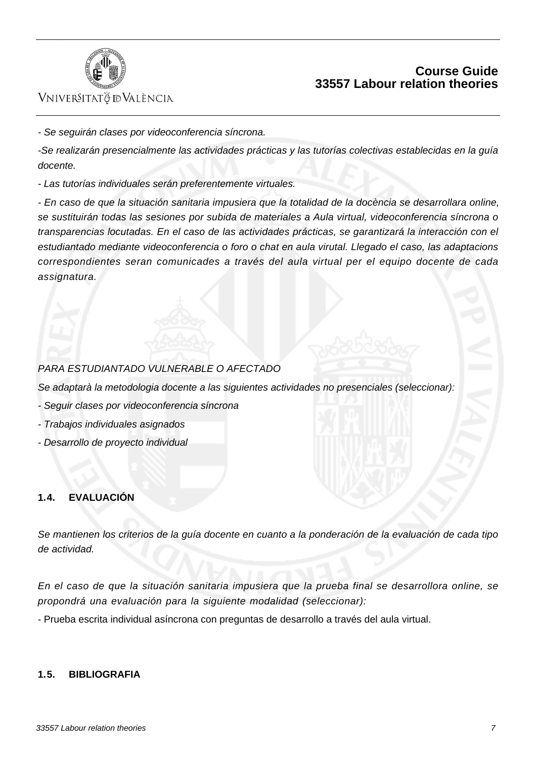

# VNIVERSITATÖ ID VALÈNCIA

- Se seguirán clases por videoconferencia síncrona.

-Se realizarán presencialmente las actividades prácticas y las tutorías colectivas establecidas en la guía docente.

- Las tutorías individuales serán preferentemente virtuales.

- En caso de que la situación sanitaria impusiera que la totalidad de la docència se desarrollara online, se sustituirán todas las sesiones por subida de materiales a Aula virtual, videoconferencia síncrona o transparencias locutadas. En el caso de las actividades prácticas, se garantizará la interacción con el estudiantado mediante videoconferencia o foro o chat en aula virutal. Llegado el caso, las adaptacions correspondientes seran comunicades a través del aula virtual per el equipo docente de cada assignatura.

### PARA ESTUDIANTADO VULNERABLE O AFECTADO

Se adaptarà la metodologia docente a las siguientes actividades no presenciales (seleccionar):

- Seguir clases por videoconferencia síncrona
- Trabajos individuales asignados
- Desarrollo de proyecto individual

#### **1.4. EVALUACIÓN**

Se mantienen los criterios de la guía docente en cuanto a la ponderación de la evaluación de cada tipo de actividad.

En el caso de que la situación sanitaria impusiera que la prueba final se desarrollora online, se propondrá una evaluación para la siguiente modalidad (seleccionar):

- Prueba escrita individual asíncrona con preguntas de desarrollo a través del aula virtual.

#### **1.5. BIBLIOGRAFIA**